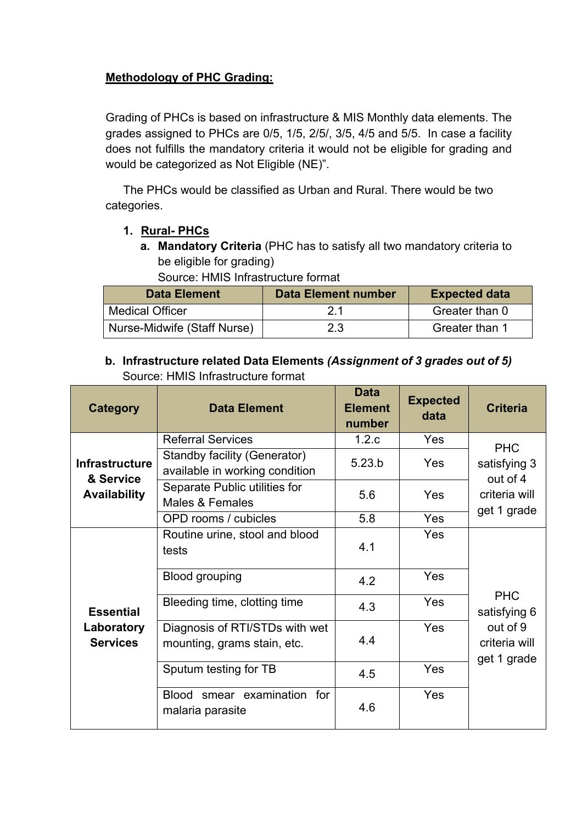## **Methodology of PHC Grading:**

Grading of PHCs is based on infrastructure & MIS Monthly data elements. The grades assigned to PHCs are 0/5, 1/5, 2/5/, 3/5, 4/5 and 5/5. In case a facility does not fulfills the mandatory criteria it would not be eligible for grading and would be categorized as Not Eligible (NE)".

The PHCs would be classified as Urban and Rural. There would be two categories.

### **1. Rural- PHCs**

**a. Mandatory Criteria** (PHC has to satisfy all two mandatory criteria to be eligible for grading)

Source: HMIS Infrastructure format

| <b>Data Element</b>         | <b>Data Element number</b> | <b>Expected data</b> |
|-----------------------------|----------------------------|----------------------|
| <b>Medical Officer</b>      | 21                         | Greater than 0       |
| Nurse-Midwife (Staff Nurse) | 2.3                        | Greater than 1       |

### **b. Infrastructure related Data Elements** *(Assignment of 3 grades out of 5)* Source: HMIS Infrastructure format

| <b>Category</b>                                           | <b>Data Element</b>                                                   | <b>Data</b><br><b>Element</b><br>number | <b>Expected</b><br>data | <b>Criteria</b>                          |  |
|-----------------------------------------------------------|-----------------------------------------------------------------------|-----------------------------------------|-------------------------|------------------------------------------|--|
|                                                           | <b>Referral Services</b>                                              | 1.2.c                                   | <b>Yes</b>              | <b>PHC</b>                               |  |
| <b>Infrastructure</b><br>& Service<br><b>Availability</b> | <b>Standby facility (Generator)</b><br>available in working condition | 5.23.b                                  | Yes                     | satisfying 3<br>out of 4                 |  |
|                                                           | Separate Public utilities for<br>Males & Females                      | 5.6                                     | Yes                     | criteria will<br>get 1 grade             |  |
|                                                           | OPD rooms / cubicles                                                  | 5.8                                     | Yes                     |                                          |  |
|                                                           | Routine urine, stool and blood<br>tests                               | 4.1                                     | Yes                     |                                          |  |
| <b>Essential</b><br>Laboratory<br><b>Services</b>         | Blood grouping                                                        | 4.2                                     | Yes                     |                                          |  |
|                                                           | Bleeding time, clotting time                                          | 4.3                                     | Yes                     | <b>PHC</b><br>satisfying 6               |  |
|                                                           | Diagnosis of RTI/STDs with wet<br>mounting, grams stain, etc.         | 4.4                                     | Yes                     | out of 9<br>criteria will<br>get 1 grade |  |
|                                                           | Sputum testing for TB                                                 | 4.5                                     | Yes                     |                                          |  |
|                                                           | Blood smear examination for<br>malaria parasite                       | 4.6                                     | <b>Yes</b>              |                                          |  |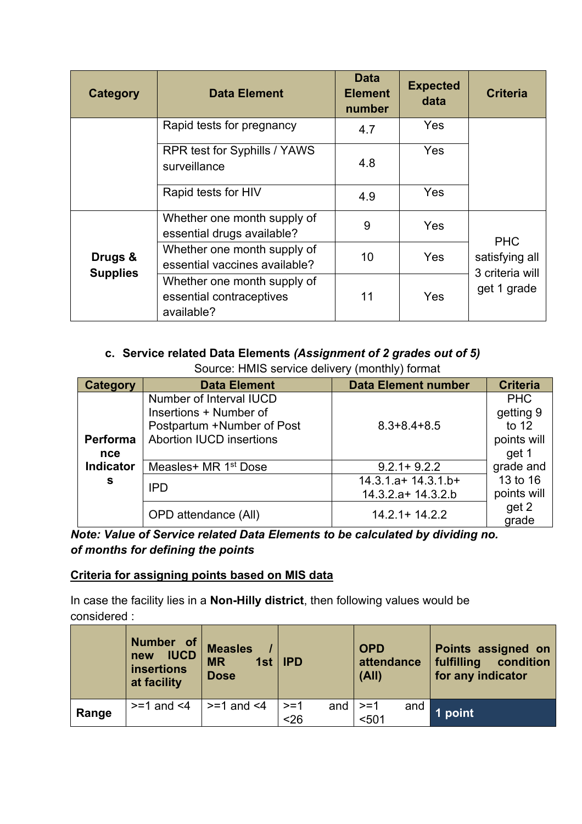| <b>Category</b>            | <b>Data Element</b>                                                   | <b>Data</b><br><b>Element</b><br>number | <b>Expected</b><br>data | <b>Criteria</b>                   |
|----------------------------|-----------------------------------------------------------------------|-----------------------------------------|-------------------------|-----------------------------------|
|                            | Rapid tests for pregnancy                                             | 4.7                                     | <b>Yes</b>              |                                   |
|                            | RPR test for Syphills / YAWS<br>surveillance                          | 4.8                                     | <b>Yes</b>              |                                   |
|                            | Rapid tests for HIV                                                   | 4.9                                     | Yes                     |                                   |
|                            | Whether one month supply of<br>essential drugs available?             | 9                                       | <b>Yes</b>              | <b>PHC</b>                        |
| Drugs &<br><b>Supplies</b> | Whether one month supply of<br>essential vaccines available?          | 10                                      | <b>Yes</b>              | satisfying all<br>3 criteria will |
|                            | Whether one month supply of<br>essential contraceptives<br>available? | 11                                      | Yes                     | get 1 grade                       |

# **c. Service related Data Elements** *(Assignment of 2 grades out of 5)*

Source: HMIS service delivery (monthly) format

| <b>Category</b>        | <b>Data Element</b>                                                                                                | <b>Data Element number</b>                   | <b>Criteria</b>                                            |
|------------------------|--------------------------------------------------------------------------------------------------------------------|----------------------------------------------|------------------------------------------------------------|
| <b>Performa</b><br>nce | Number of Interval IUCD<br>Insertions + Number of<br>Postpartum +Number of Post<br><b>Abortion IUCD insertions</b> | $8.3 + 8.4 + 8.5$                            | <b>PHC</b><br>getting 9<br>to $12$<br>points will<br>get 1 |
| <b>Indicator</b>       | Measles+ MR 1 <sup>st</sup> Dose                                                                                   | $9.2.1 + 9.2.2$                              | grade and                                                  |
| s                      | <b>IPD</b>                                                                                                         | $14.3.1.a+14.3.1.b+$<br>$14.3.2.a+ 14.3.2.b$ | 13 to 16<br>points will                                    |
|                        | OPD attendance (All)                                                                                               | $14.2.1 + 14.2.2$                            | get 2<br>grade                                             |

*Note: Value of Service related Data Elements to be calculated by dividing no. of months for defining the points*

#### **Criteria for assigning points based on MIS data**

In case the facility lies in a **Non-Hilly district**, then following values would be considered :

|       | Number of<br><b>IUCD</b><br>new<br><b>insertions</b><br>at facility | <b>Measles</b><br>1st $ $<br><b>MR</b><br><b>Dose</b> | <b>IPD</b>    |     | <b>OPD</b><br>attendance<br>(A  ) |     | Points assigned on<br>fulfilling<br>condition<br>for any indicator |
|-------|---------------------------------------------------------------------|-------------------------------------------------------|---------------|-----|-----------------------------------|-----|--------------------------------------------------------------------|
| Range | $>=1$ and $<4$                                                      | $>=1$ and $<4$                                        | $>=1$<br>$26$ | and | $>=1$<br>< 501                    | and | 1 point                                                            |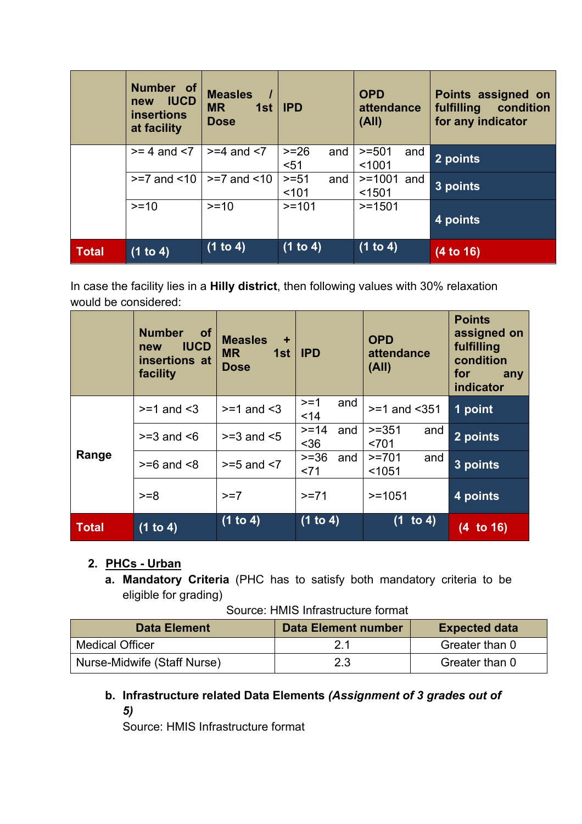|              | Number of<br><b>IUCD</b><br>new<br><b>insertions</b><br>at facility | <b>Measles</b><br><b>MR</b><br>1st<br><b>Dose</b> | <b>IPD</b>              | <b>OPD</b><br>attendance<br>(A  ) | Points assigned on<br>fulfilling<br>condition<br>for any indicator |
|--------------|---------------------------------------------------------------------|---------------------------------------------------|-------------------------|-----------------------------------|--------------------------------------------------------------------|
|              | $>= 4$ and $< 7$                                                    | $>= 4$ and $< 7$                                  | $>= 26$<br>and<br>$51$  | $>=501$<br>and<br>< 1001          | $2$ points                                                         |
|              | $>=7$ and $< 10$                                                    | $>=7$ and $<10$                                   | $>= 51$<br>and<br>< 101 | $>= 1001$ and<br>< 1501           | $3$ points                                                         |
|              | $>=10$                                                              | $>=10$                                            | $>=101$                 | $>=1501$                          | 4 points                                                           |
| <b>Total</b> | (1 to 4)                                                            | (1 to 4)                                          | (1 to 4)                | (1 to 4)                          | $(4$ to 16)                                                        |

In case the facility lies in a **Hilly district**, then following values with 30% relaxation would be considered:

|              | <b>Number</b><br><b>of</b><br><b>IUCD</b><br>new<br>insertions at<br>facility | <b>Measles</b><br>٠<br><b>MR</b><br>1st<br><b>Dose</b> | <b>IPD</b>             | <b>OPD</b><br>attendance<br>(A  ) | <b>Points</b><br>assigned on<br>fulfilling<br>condition<br>for<br>any<br>indicator |
|--------------|-------------------------------------------------------------------------------|--------------------------------------------------------|------------------------|-----------------------------------|------------------------------------------------------------------------------------|
|              | $>= 1$ and $< 3$                                                              | $>= 1$ and $< 3$                                       | $>=1$<br>and<br>14     | $>=1$ and $<$ 351                 | 1 point                                                                            |
|              | $>=$ 3 and $<$ 6                                                              | $>=3$ and $<5$                                         | $>= 14$<br>and<br>$36$ | $>=351$<br>and<br>< 701           | $\sqrt{2}$ points                                                                  |
| Range        | $>= 6$ and $< 8$                                                              | $>= 5$ and $< 7$                                       | $>=36$<br>and<br>~1    | $>=701$<br>and<br>< 1051          | 3 points                                                                           |
|              | $>= 8$                                                                        | $>=7$                                                  | $>=71$                 | $>=1051$                          | 4 points                                                                           |
| <b>Total</b> | (1 to 4)                                                                      | (1 to 4)                                               | (1 to 4)               | (1 to 4)                          | $(4$ to 16)                                                                        |

# **2. PHCs - Urban**

**a. Mandatory Criteria** (PHC has to satisfy both mandatory criteria to be eligible for grading)

| Source: HMIS Infrastructure format |
|------------------------------------|
|------------------------------------|

| <b>Data Element</b>         | Data Element number | <b>Expected data</b> |
|-----------------------------|---------------------|----------------------|
| <b>Medical Officer</b>      | 2.1                 | Greater than 0       |
| Nurse-Midwife (Staff Nurse) | 2.3                 | Greater than 0       |

## **b. Infrastructure related Data Elements** *(Assignment of 3 grades out of 5)*

Source: HMIS Infrastructure format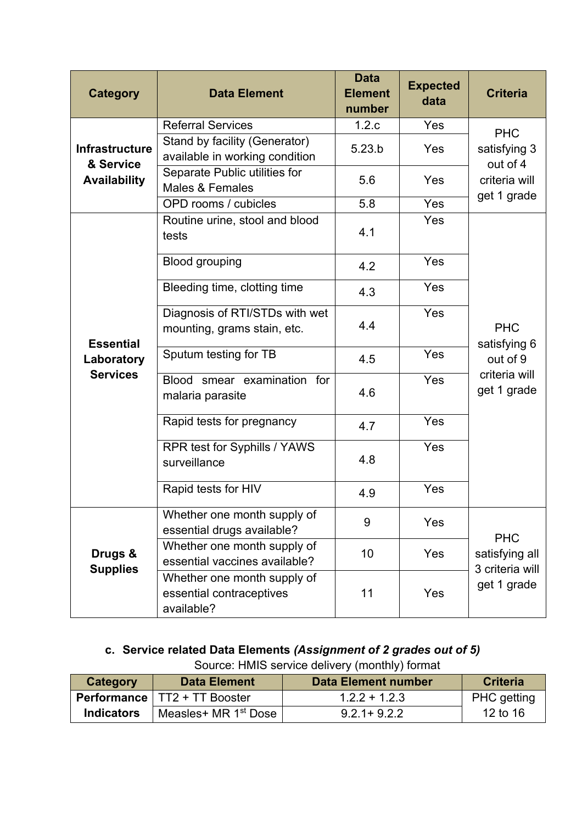| <b>Category</b>                                   | <b>Data Element</b>                                                   | <b>Data</b><br><b>Element</b><br>number | <b>Expected</b><br>data | <b>Criteria</b>                        |  |
|---------------------------------------------------|-----------------------------------------------------------------------|-----------------------------------------|-------------------------|----------------------------------------|--|
|                                                   | <b>Referral Services</b>                                              | 1.2.c                                   | Yes                     | <b>PHC</b>                             |  |
| <b>Infrastructure</b><br>& Service                | Stand by facility (Generator)<br>available in working condition       | 5.23.b                                  | Yes                     | satisfying 3<br>out of 4               |  |
| <b>Availability</b>                               | Separate Public utilities for<br><b>Males &amp; Females</b>           | 5.6                                     | Yes                     | criteria will<br>get 1 grade           |  |
|                                                   | OPD rooms / cubicles                                                  | 5.8                                     | Yes                     |                                        |  |
|                                                   | Routine urine, stool and blood<br>tests                               | 4.1                                     | Yes                     |                                        |  |
|                                                   | <b>Blood grouping</b>                                                 | 4.2                                     | Yes                     |                                        |  |
|                                                   | Bleeding time, clotting time                                          | 4.3                                     | Yes                     |                                        |  |
| <b>Essential</b><br>Laboratory<br><b>Services</b> | Diagnosis of RTI/STDs with wet<br>mounting, grams stain, etc.         | 4.4                                     | Yes                     | <b>PHC</b><br>satisfying 6<br>out of 9 |  |
|                                                   | Sputum testing for TB                                                 | 4.5                                     | Yes                     |                                        |  |
|                                                   | Blood smear examination for<br>malaria parasite                       | 4.6                                     | Yes                     | criteria will<br>get 1 grade           |  |
|                                                   | Rapid tests for pregnancy                                             | 4.7                                     | Yes                     |                                        |  |
|                                                   | RPR test for Syphills / YAWS<br>surveillance                          | 4.8                                     | Yes                     |                                        |  |
|                                                   | Rapid tests for HIV                                                   | 4.9                                     | Yes                     |                                        |  |
| Drugs &<br><b>Supplies</b>                        | Whether one month supply of<br>essential drugs available?             | 9                                       | Yes                     | <b>PHC</b>                             |  |
|                                                   | Whether one month supply of<br>essential vaccines available?          | 10                                      | Yes                     | satisfying all                         |  |
|                                                   | Whether one month supply of<br>essential contraceptives<br>available? | 11                                      | Yes                     | 3 criteria will<br>get 1 grade         |  |

**c. Service related Data Elements** *(Assignment of 2 grades out of 5)*

Source: HMIS service delivery (monthly) format

| <b>Category</b>   | <b>Data Element</b>                   | <b>Data Element number</b> | <b>Criteria</b>    |
|-------------------|---------------------------------------|----------------------------|--------------------|
|                   | <b>Performance   TT2 + TT Booster</b> | $1.2.2 + 1.2.3$            | <b>PHC</b> getting |
| <b>Indicators</b> | Measles+ MR 1 <sup>st</sup> Dose      | $9.2.1 + 9.2.2$            | 12 to 16           |